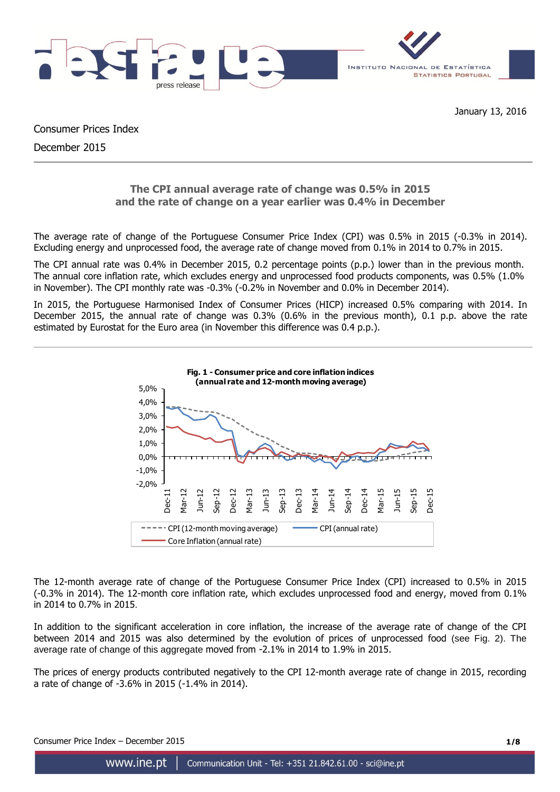

Consumer Prices Index December 2015

# **The CPI annual average rate of change was 0.5% in 2015 and the rate of change on a year earlier was 0.4% in December**

The average rate of change of the Portuguese Consumer Price Index (CPI) was 0.5% in 2015 (-0.3% in 2014). Excluding energy and unprocessed food, the average rate of change moved from 0.1% in 2014 to 0.7% in 2015.

The CPI annual rate was 0.4% in December 2015, 0.2 percentage points (p.p.) lower than in the previous month. The annual core inflation rate, which excludes energy and unprocessed food products components, was 0.5% (1.0% in November). The CPI monthly rate was -0.3% (-0.2% in November and 0.0% in December 2014).

In 2015, the Portuguese Harmonised Index of Consumer Prices (HICP) increased 0.5% comparing with 2014. In December 2015, the annual rate of change was 0.3% (0.6% in the previous month), 0.1 p.p. above the rate estimated by Eurostat for the Euro area (in November this difference was 0.4 p.p.).



The 12-month average rate of change of the Portuguese Consumer Price Index (CPI) increased to 0.5% in 2015 (-0.3% in 2014). The 12-month core inflation rate, which excludes unprocessed food and energy, moved from 0.1% in 2014 to 0.7% in 2015.

In addition to the significant acceleration in core inflation, the increase of the average rate of change of the CPI between 2014 and 2015 was also determined by the evolution of prices of unprocessed food (see Fig. 2). The average rate of change of this aggregate moved from -2.1% in 2014 to 1.9% in 2015.

The prices of energy products contributed negatively to the CPI 12-month average rate of change in 2015, recording a rate of change of -3.6% in 2015 (-1.4% in 2014).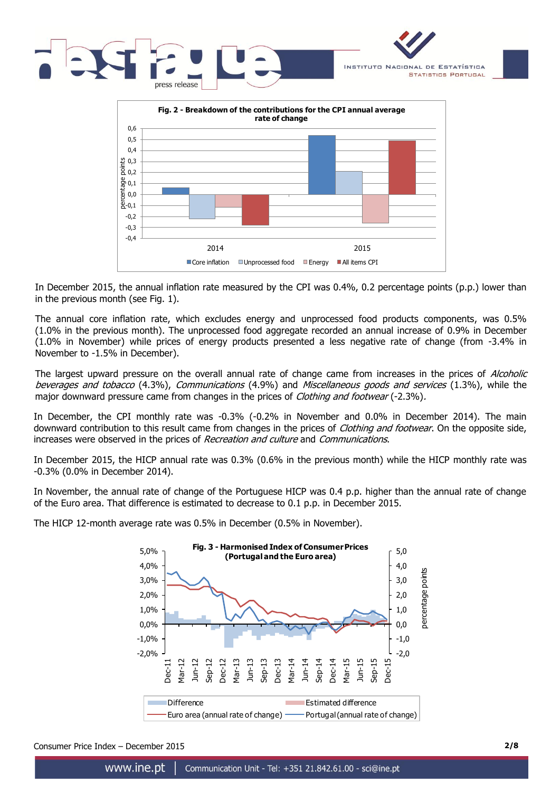



In December 2015, the annual inflation rate measured by the CPI was 0.4%, 0.2 percentage points (p.p.) lower than in the previous month (see Fig. 1).

The annual core inflation rate, which excludes energy and unprocessed food products components, was 0.5% (1.0% in the previous month). The unprocessed food aggregate recorded an annual increase of 0.9% in December (1.0% in November) while prices of energy products presented a less negative rate of change (from -3.4% in November to -1.5% in December).

The largest upward pressure on the overall annual rate of change came from increases in the prices of *Alcoholic* beverages and tobacco (4.3%), Communications (4.9%) and Miscellaneous goods and services (1.3%), while the major downward pressure came from changes in the prices of *Clothing and footwear* (-2.3%).

In December, the CPI monthly rate was -0.3% (-0.2% in November and 0.0% in December 2014). The main downward contribution to this result came from changes in the prices of *Clothing and footwear*. On the opposite side, increases were observed in the prices of Recreation and culture and Communications.

In December 2015, the HICP annual rate was 0.3% (0.6% in the previous month) while the HICP monthly rate was -0.3% (0.0% in December 2014).

In November, the annual rate of change of the Portuguese HICP was 0.4 p.p. higher than the annual rate of change of the Euro area. That difference is estimated to decrease to 0.1 p.p. in December 2015.

The HICP 12-month average rate was 0.5% in December (0.5% in November).



Consumer Price Index – December 2015 **2/8**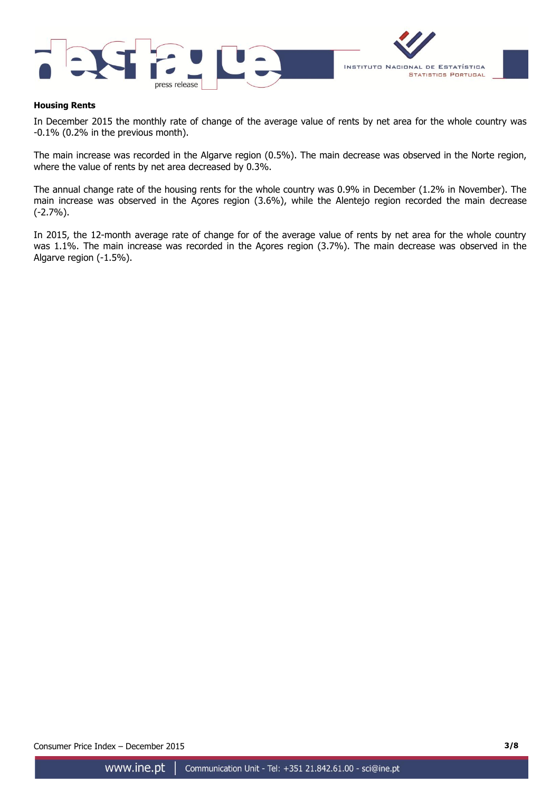



## **Housing Rents**

In December 2015 the monthly rate of change of the average value of rents by net area for the whole country was -0.1% (0.2% in the previous month).

The main increase was recorded in the Algarve region (0.5%). The main decrease was observed in the Norte region, where the value of rents by net area decreased by 0.3%.

The annual change rate of the housing rents for the whole country was 0.9% in December (1.2% in November). The main increase was observed in the Açores region (3.6%), while the Alentejo region recorded the main decrease (-2.7%).

In 2015, the 12-month average rate of change for of the average value of rents by net area for the whole country was 1.1%. The main increase was recorded in the Açores region (3.7%). The main decrease was observed in the Algarve region (-1.5%).

Consumer Price Index – December 2015 **3/8**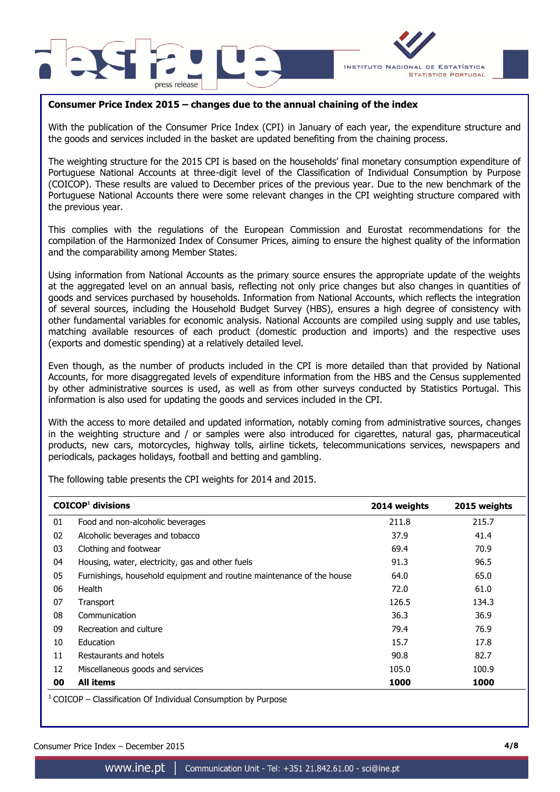



## **Consumer Price Index 2015 – changes due to the annual chaining of the index**

With the publication of the Consumer Price Index (CPI) in January of each year, the expenditure structure and the goods and services included in the basket are updated benefiting from the chaining process.

The weighting structure for the 2015 CPI is based on the households' final monetary consumption expenditure of Portuguese National Accounts at three-digit level of the Classification of Individual Consumption by Purpose (COICOP). These results are valued to December prices of the previous year. Due to the new benchmark of the Portuguese National Accounts there were some relevant changes in the CPI weighting structure compared with the previous year.

This complies with the regulations of the European Commission and Eurostat recommendations for the compilation of the Harmonized Index of Consumer Prices, aiming to ensure the highest quality of the information and the comparability among Member States.

Using information from National Accounts as the primary source ensures the appropriate update of the weights at the aggregated level on an annual basis, reflecting not only price changes but also changes in quantities of goods and services purchased by households. Information from National Accounts, which reflects the integration of several sources, including the Household Budget Survey (HBS), ensures a high degree of consistency with other fundamental variables for economic analysis. National Accounts are compiled using supply and use tables, matching available resources of each product (domestic production and imports) and the respective uses (exports and domestic spending) at a relatively detailed level.

Even though, as the number of products included in the CPI is more detailed than that provided by National Accounts, for more disaggregated levels of expenditure information from the HBS and the Census supplemented by other administrative sources is used, as well as from other surveys conducted by Statistics Portugal. This information is also used for updating the goods and services included in the CPI.

With the access to more detailed and updated information, notably coming from administrative sources, changes in the weighting structure and / or samples were also introduced for cigarettes, natural gas, pharmaceutical products, new cars, motorcycles, highway tolls, airline tickets, telecommunications services, newspapers and periodicals, packages holidays, football and betting and gambling.

The following table presents the CPI weights for 2014 and 2015.

|    | $COICOP1$ divisions                                                   | 2014 weights | 2015 weights |
|----|-----------------------------------------------------------------------|--------------|--------------|
| 01 | Food and non-alcoholic beverages                                      | 211.8        | 215.7        |
| 02 | Alcoholic beverages and tobacco                                       | 37.9         | 41.4         |
| 03 | Clothing and footwear                                                 | 69.4         | 70.9         |
| 04 | Housing, water, electricity, gas and other fuels                      | 91.3         | 96.5         |
| 05 | Furnishings, household equipment and routine maintenance of the house | 64.0         | 65.0         |
| 06 | Health                                                                | 72.0         | 61.0         |
| 07 | Transport                                                             | 126.5        | 134.3        |
| 08 | Communication                                                         | 36.3         | 36.9         |
| 09 | Recreation and culture                                                | 79.4         | 76.9         |
| 10 | Education                                                             | 15.7         | 17.8         |
| 11 | Restaurants and hotels                                                | 90.8         | 82.7         |
| 12 | Miscellaneous goods and services                                      | 105.0        | 100.9        |
| 00 | <b>All items</b>                                                      | 1000         | 1000         |

 $1$  COICOP – Classification Of Individual Consumption by Purpose

Consumer Price Index – December 2015 **4/8**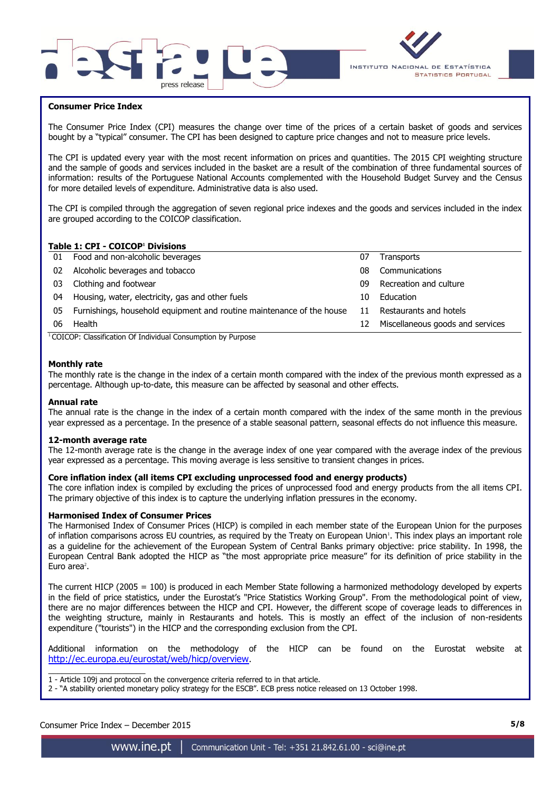



## **Consumer Price Index**

The Consumer Price Index (CPI) measures the change over time of the prices of a certain basket of goods and services bought by a "typical" consumer. The CPI has been designed to capture price changes and not to measure price levels.

The CPI is updated every year with the most recent information on prices and quantities. The 2015 CPI weighting structure and the sample of goods and services included in the basket are a result of the combination of three fundamental sources of information: results of the Portuguese National Accounts complemented with the Household Budget Survey and the Census for more detailed levels of expenditure. Administrative data is also used.

The CPI is compiled through the aggregation of seven regional price indexes and the goods and services included in the index are grouped according to the COICOP classification.

## **Table 1: CPI - COICOP<sup>1</sup> Divisions**

| 01 | Food and non-alcoholic beverages                                      | 07 | <b>Transports</b>                |
|----|-----------------------------------------------------------------------|----|----------------------------------|
| 02 | Alcoholic beverages and tobacco                                       | 08 | Communications                   |
| 03 | Clothing and footwear                                                 | 09 | Recreation and culture           |
| 04 | Housing, water, electricity, gas and other fuels                      | 10 | Education                        |
| 05 | Furnishings, household equipment and routine maintenance of the house | 11 | Restaurants and hotels           |
| 06 | Health                                                                | 12 | Miscellaneous goods and services |
|    |                                                                       |    |                                  |

<sup>1</sup> COICOP: Classification Of Individual Consumption by Purpose

### **Monthly rate**

The monthly rate is the change in the index of a certain month compared with the index of the previous month expressed as a percentage. Although up-to-date, this measure can be affected by seasonal and other effects.

#### **Annual rate**

The annual rate is the change in the index of a certain month compared with the index of the same month in the previous year expressed as a percentage. In the presence of a stable seasonal pattern, seasonal effects do not influence this measure.

#### **12-month average rate**

The 12-month average rate is the change in the average index of one year compared with the average index of the previous year expressed as a percentage. This moving average is less sensitive to transient changes in prices.

#### **Core inflation index (all items CPI excluding unprocessed food and energy products)**

The core inflation index is compiled by excluding the prices of unprocessed food and energy products from the all items CPI. The primary objective of this index is to capture the underlying inflation pressures in the economy.

#### **Harmonised Index of Consumer Prices**

The Harmonised Index of Consumer Prices (HICP) is compiled in each member state of the European Union for the purposes of inflation comparisons across EU countries, as required by the Treaty on European Union<sup>1</sup>. This index plays an important role as a guideline for the achievement of the European System of Central Banks primary objective: price stability. In 1998, the European Central Bank adopted the HICP as "the most appropriate price measure" for its definition of price stability in the Euro area $2$ .

The current HICP (2005 = 100) is produced in each Member State following a harmonized methodology developed by experts in the field of price statistics, under the Eurostat's "Price Statistics Working Group". From the methodological point of view, there are no major differences between the HICP and CPI. However, the different scope of coverage leads to differences in the weighting structure, mainly in Restaurants and hotels. This is mostly an effect of the inclusion of non-residents expenditure ("tourists") in the HICP and the corresponding exclusion from the CPI.

Additional information on the methodology of the HICP can be found on the Eurostat website at http://ec.europa.eu/eurostat/web/hicp/overview.

 $\overline{\phantom{a}}$  , and the set of the set of the set of the set of the set of the set of the set of the set of the set of the set of the set of the set of the set of the set of the set of the set of the set of the set of the s 1 - Article 109j and protocol on the convergence criteria referred to in that article.

2 - "A stability oriented monetary policy strategy for the ESCB". ECB press notice released on 13 October 1998.

## Consumer Price Index – December 2015 **5/8**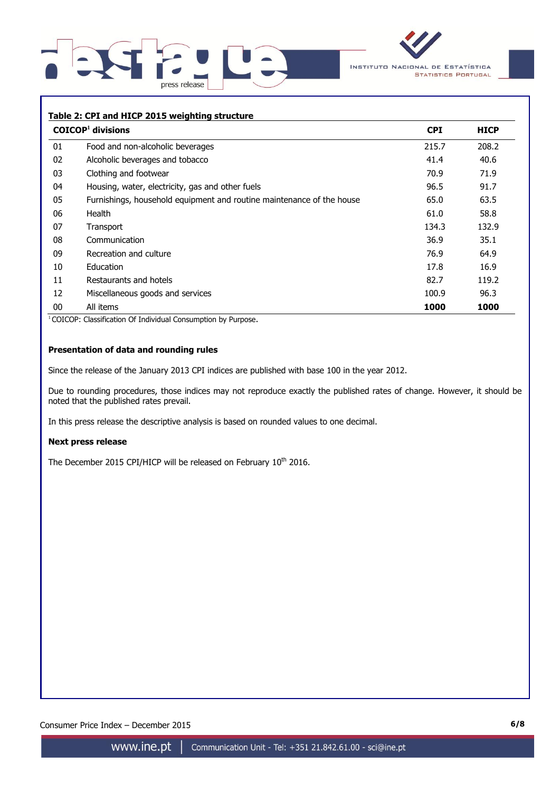



## **Table 2: CPI and HICP 2015 weighting structure**

|    | $COICOP1$ divisions                                                   | <b>CPI</b> | <b>HICP</b> |
|----|-----------------------------------------------------------------------|------------|-------------|
| 01 | Food and non-alcoholic beverages                                      | 215.7      | 208.2       |
| 02 | Alcoholic beverages and tobacco                                       | 41.4       | 40.6        |
| 03 | Clothing and footwear                                                 | 70.9       | 71.9        |
| 04 | Housing, water, electricity, gas and other fuels                      | 96.5       | 91.7        |
| 05 | Furnishings, household equipment and routine maintenance of the house | 65.0       | 63.5        |
| 06 | Health                                                                | 61.0       | 58.8        |
| 07 | Transport                                                             | 134.3      | 132.9       |
| 08 | Communication                                                         | 36.9       | 35.1        |
| 09 | Recreation and culture                                                | 76.9       | 64.9        |
| 10 | Education                                                             | 17.8       | 16.9        |
| 11 | Restaurants and hotels                                                | 82.7       | 119.2       |
| 12 | Miscellaneous goods and services                                      | 100.9      | 96.3        |
| 00 | All items                                                             | 1000       | 1000        |

<sup>1</sup> COICOP: Classification Of Individual Consumption by Purpose.

## **Presentation of data and rounding rules**

Since the release of the January 2013 CPI indices are published with base 100 in the year 2012.

Due to rounding procedures, those indices may not reproduce exactly the published rates of change. However, it should be noted that the published rates prevail.

In this press release the descriptive analysis is based on rounded values to one decimal.

#### **Next press release**

The December 2015 CPI/HICP will be released on February  $10^{th}$  2016.

Consumer Price Index – December 2015 **6/8**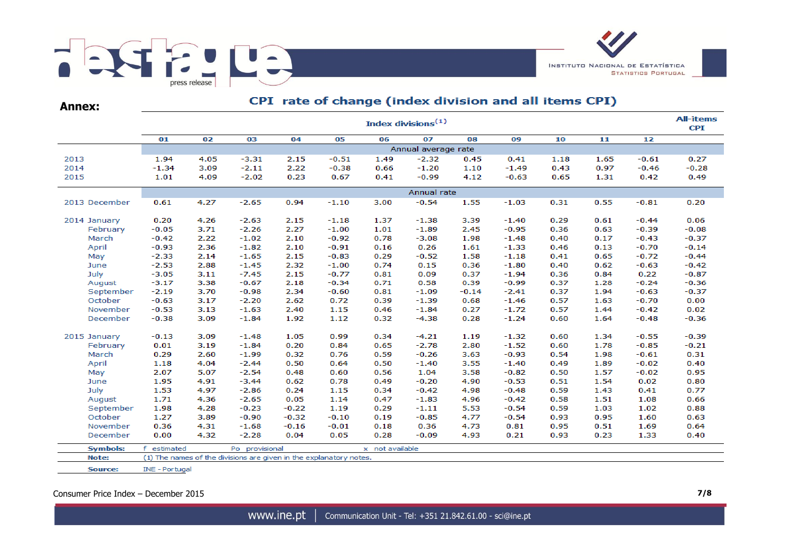

**Annex:**

# CPI rate of change (index division and all items CPI)

|                 | <b>All-items</b><br>Index divisions <sup>(1)</sup> |      |                                                                    |         |         |                 |                     |         |         |      |      |         |         |  |  |  |  |
|-----------------|----------------------------------------------------|------|--------------------------------------------------------------------|---------|---------|-----------------|---------------------|---------|---------|------|------|---------|---------|--|--|--|--|
|                 | 01                                                 | 02   | 03                                                                 | 04      | 05      | 06              | 07                  | 08      | 09      | 10   | 11   | 12      |         |  |  |  |  |
|                 |                                                    |      |                                                                    |         |         |                 | Annual average rate |         |         |      |      |         |         |  |  |  |  |
| 2013            | 1.94                                               | 4.05 | $-3.31$                                                            | 2.15    | $-0.51$ | 1.49            | $-2.32$             | 0.45    | 0.41    | 1.18 | 1.65 | $-0.61$ | 0.27    |  |  |  |  |
| 2014            | $-1.34$                                            | 3.09 | $-2.11$                                                            | 2.22    | $-0.38$ | 0.66            | $-1.20$             | 1.10    | $-1.49$ | 0.43 | 0.97 | $-0.46$ | $-0.28$ |  |  |  |  |
| 2015            | 1.01                                               | 4.09 | $-2.02$                                                            | 0.23    | 0.67    | 0.41            | $-0.99$             | 4.12    | $-0.63$ | 0.65 | 1.31 | 0.42    | 0.49    |  |  |  |  |
|                 | Annual rate                                        |      |                                                                    |         |         |                 |                     |         |         |      |      |         |         |  |  |  |  |
| 2013 December   | 0.61                                               | 4.27 | $-2.65$                                                            | 0.94    | $-1.10$ | 3.00            | $-0.54$             | 1.55    | $-1.03$ | 0.31 | 0.55 | $-0.81$ | 0.20    |  |  |  |  |
| 2014 January    | 0.20                                               | 4.26 | $-2.63$                                                            | 2.15    | $-1.18$ | 1.37            | $-1.38$             | 3.39    | $-1.40$ | 0.29 | 0.61 | $-0.44$ | 0.06    |  |  |  |  |
| February        | $-0.05$                                            | 3.71 | $-2.26$                                                            | 2.27    | $-1.00$ | 1.01            | $-1.89$             | 2.45    | $-0.95$ | 0.36 | 0.63 | $-0.39$ | $-0.08$ |  |  |  |  |
| March           | $-0.42$                                            | 2.22 | $-1.02$                                                            | 2.10    | $-0.92$ | 0.78            | $-3.08$             | 1.98    | $-1.48$ | 0.40 | 0.17 | $-0.43$ | $-0.37$ |  |  |  |  |
| April           | $-0.93$                                            | 2.36 | $-1.82$                                                            | 2.10    | $-0.91$ | 0.16            | 0.26                | 1.61    | $-1.33$ | 0.46 | 0.13 | $-0.70$ | $-0.14$ |  |  |  |  |
| May             | $-2.33$                                            | 2.14 | $-1.65$                                                            | 2.15    | $-0.83$ | 0.29            | $-0.52$             | 1.58    | $-1.18$ | 0.41 | 0.65 | $-0.72$ | $-0.44$ |  |  |  |  |
| June            | $-2.53$                                            | 2.88 | $-1.45$                                                            | 2.32    | $-1.00$ | 0.74            | 0.15                | 0.36    | $-1.80$ | 0.40 | 0.62 | $-0.63$ | $-0.42$ |  |  |  |  |
| July            | $-3.05$                                            | 3.11 | $-7.45$                                                            | 2.15    | $-0.77$ | 0.81            | 0.09                | 0.37    | $-1.94$ | 0.36 | 0.84 | 0.22    | $-0.87$ |  |  |  |  |
| August          | $-3.17$                                            | 3.38 | $-0.67$                                                            | 2.18    | $-0.34$ | 0.71            | 0.58                | 0.39    | $-0.99$ | 0.37 | 1.28 | $-0.24$ | $-0.36$ |  |  |  |  |
| September       | $-2.19$                                            | 3.70 | $-0.98$                                                            | 2.34    | $-0.60$ | 0.81            | $-1.09$             | $-0.14$ | $-2.41$ | 0.37 | 1.94 | $-0.63$ | $-0.37$ |  |  |  |  |
| October         | $-0.63$                                            | 3.17 | $-2.20$                                                            | 2.62    | 0.72    | 0.39            | $-1.39$             | 0.68    | $-1.46$ | 0.57 | 1.63 | $-0.70$ | 0.00    |  |  |  |  |
| November        | $-0.53$                                            | 3.13 | $-1.63$                                                            | 2.40    | 1.15    | 0.46            | $-1.84$             | 0.27    | $-1.72$ | 0.57 | 1.44 | $-0.42$ | 0.02    |  |  |  |  |
| December        | $-0.38$                                            | 3.09 | $-1.84$                                                            | 1.92    | 1.12    | 0.32            | $-4.38$             | 0.28    | $-1.24$ | 0.60 | 1.64 | $-0.48$ | $-0.36$ |  |  |  |  |
| 2015 January    | $-0.13$                                            | 3.09 | $-1.48$                                                            | 1.05    | 0.99    | 0.34            | $-4.21$             | 1.19    | $-1.32$ | 0.60 | 1.34 | $-0.55$ | $-0.39$ |  |  |  |  |
| February        | 0.01                                               | 3.19 | $-1.84$                                                            | 0.20    | 0.84    | 0.65            | $-2.78$             | 2.80    | $-1.52$ | 0.60 | 1.78 | $-0.85$ | $-0.21$ |  |  |  |  |
| March           | 0.29                                               | 2.60 | $-1.99$                                                            | 0.32    | 0.76    | 0.59            | $-0.26$             | 3.63    | $-0.93$ | 0.54 | 1.98 | $-0.61$ | 0.31    |  |  |  |  |
| April           | 1.18                                               | 4.04 | $-2.44$                                                            | 0.50    | 0.64    | 0.50            | $-1.40$             | 3.55    | $-1.40$ | 0.49 | 1.89 | $-0.02$ | 0.40    |  |  |  |  |
| May             | 2.07                                               | 5.07 | $-2.54$                                                            | 0.48    | 0.60    | 0.56            | 1.04                | 3.58    | $-0.82$ | 0.50 | 1.57 | $-0.02$ | 0.95    |  |  |  |  |
| June            | 1.95                                               | 4.91 | $-3.44$                                                            | 0.62    | 0.78    | 0.49            | $-0.20$             | 4.90    | $-0.53$ | 0.51 | 1.54 | 0.02    | 0.80    |  |  |  |  |
| July            | 1.53                                               | 4.97 | $-2.86$                                                            | 0.24    | 1.15    | 0.34            | $-0.42$             | 4.98    | $-0.48$ | 0.59 | 1.43 | 0.41    | 0.77    |  |  |  |  |
| August          | 1.71                                               | 4.36 | $-2.65$                                                            | 0.05    | 1.14    | 0.47            | $-1.83$             | 4.96    | $-0.42$ | 0.58 | 1.51 | 1.08    | 0.66    |  |  |  |  |
| September       | 1.98                                               | 4.28 | $-0.23$                                                            | $-0.22$ | 1.19    | 0.29            | $-1.11$             | 5.53    | $-0.54$ | 0.59 | 1.03 | 1.02    | 0.88    |  |  |  |  |
| October         | 1.27                                               | 3.89 | $-0.90$                                                            | $-0.32$ | $-0.10$ | 0.19            | $-0.85$             | 4.77    | $-0.54$ | 0.93 | 0.95 | 1.60    | 0.63    |  |  |  |  |
| November        | 0.36                                               | 4.31 | $-1.68$                                                            | $-0.16$ | $-0.01$ | 0.18            | 0.36                | 4.73    | 0.81    | 0.95 | 0.51 | 1.69    | 0.64    |  |  |  |  |
| December        | 0.00                                               | 4.32 | $-2.28$                                                            | 0.04    | 0.05    | 0.28            | $-0.09$             | 4.93    | 0.21    | 0.93 | 0.23 | 1.33    | 0.40    |  |  |  |  |
| <b>Symbols:</b> | estimated<br>f.                                    |      | Po provisional                                                     |         |         | x not available |                     |         |         |      |      |         |         |  |  |  |  |
| Note:           |                                                    |      | (1) The names of the divisions are given in the explanatory notes. |         |         |                 |                     |         |         |      |      |         |         |  |  |  |  |
| Source:         | <b>INE - Portugal</b>                              |      |                                                                    |         |         |                 |                     |         |         |      |      |         |         |  |  |  |  |

Consumer Price Index – December 2015 **7/8**